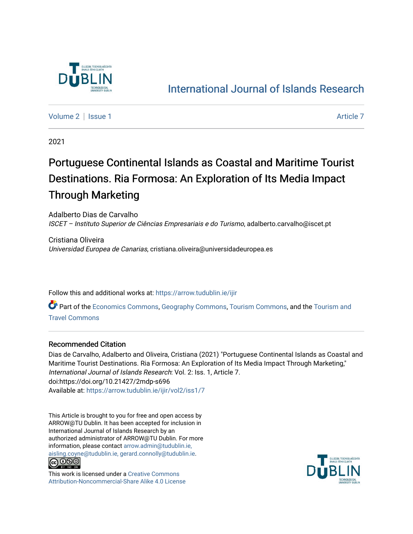

## [International Journal of Islands Research](https://arrow.tudublin.ie/ijir)

[Volume 2](https://arrow.tudublin.ie/ijir/vol2) | [Issue 1](https://arrow.tudublin.ie/ijir/vol2/iss1) Article 7

2021

## Portuguese Continental Islands as Coastal and Maritime Tourist Destinations. Ria Formosa: An Exploration of Its Media Impact Through Marketing

Adalberto Dias de Carvalho ISCET – Instituto Superior de Ciências Empresariais e do Turismo, adalberto.carvalho@iscet.pt

Cristiana Oliveira Universidad Europea de Canarias, cristiana.oliveira@universidadeuropea.es

Follow this and additional works at: [https://arrow.tudublin.ie/ijir](https://arrow.tudublin.ie/ijir?utm_source=arrow.tudublin.ie%2Fijir%2Fvol2%2Fiss1%2F7&utm_medium=PDF&utm_campaign=PDFCoverPages) 

Part of the [Economics Commons](http://network.bepress.com/hgg/discipline/340?utm_source=arrow.tudublin.ie%2Fijir%2Fvol2%2Fiss1%2F7&utm_medium=PDF&utm_campaign=PDFCoverPages), [Geography Commons](http://network.bepress.com/hgg/discipline/354?utm_source=arrow.tudublin.ie%2Fijir%2Fvol2%2Fiss1%2F7&utm_medium=PDF&utm_campaign=PDFCoverPages), [Tourism Commons,](http://network.bepress.com/hgg/discipline/1022?utm_source=arrow.tudublin.ie%2Fijir%2Fvol2%2Fiss1%2F7&utm_medium=PDF&utm_campaign=PDFCoverPages) and the [Tourism and](http://network.bepress.com/hgg/discipline/1082?utm_source=arrow.tudublin.ie%2Fijir%2Fvol2%2Fiss1%2F7&utm_medium=PDF&utm_campaign=PDFCoverPages) [Travel Commons](http://network.bepress.com/hgg/discipline/1082?utm_source=arrow.tudublin.ie%2Fijir%2Fvol2%2Fiss1%2F7&utm_medium=PDF&utm_campaign=PDFCoverPages)

## Recommended Citation

Dias de Carvalho, Adalberto and Oliveira, Cristiana (2021) "Portuguese Continental Islands as Coastal and Maritime Tourist Destinations. Ria Formosa: An Exploration of Its Media Impact Through Marketing," International Journal of Islands Research: Vol. 2: Iss. 1, Article 7. doi:https://doi.org/10.21427/2mdp-s696 Available at: [https://arrow.tudublin.ie/ijir/vol2/iss1/7](https://arrow.tudublin.ie/ijir/vol2/iss1/7?utm_source=arrow.tudublin.ie%2Fijir%2Fvol2%2Fiss1%2F7&utm_medium=PDF&utm_campaign=PDFCoverPages) 

This Article is brought to you for free and open access by ARROW@TU Dublin. It has been accepted for inclusion in International Journal of Islands Research by an authorized administrator of ARROW@TU Dublin. For more information, please contact [arrow.admin@tudublin.ie,](mailto:arrow.admin@tudublin.ie,%20aisling.coyne@tudublin.ie,%20gerard.connolly@tudublin.ie)  [aisling.coyne@tudublin.ie, gerard.connolly@tudublin.ie](mailto:arrow.admin@tudublin.ie,%20aisling.coyne@tudublin.ie,%20gerard.connolly@tudublin.ie).



This work is licensed under a [Creative Commons](http://creativecommons.org/licenses/by-nc-sa/4.0/) [Attribution-Noncommercial-Share Alike 4.0 License](http://creativecommons.org/licenses/by-nc-sa/4.0/)

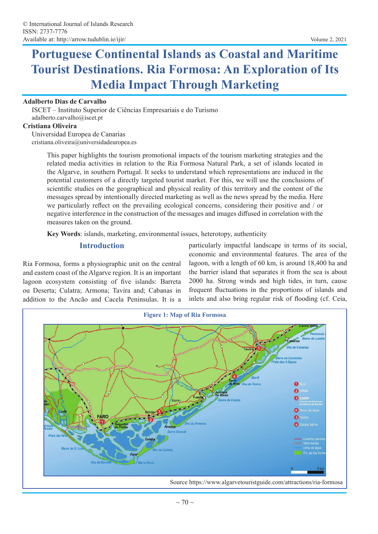# **Portuguese Continental Islands as Coastal and Maritime Tourist Destinations. Ria Formosa: An Exploration of Its Media Impact Through Marketing**

#### **Adalberto Dias de Carvalho**

ISCET – Instituto Superior de Ciências Empresariais e do Turismo adalberto.carvalho@iscet.pt

#### **Cristiana Oliveira**

Universidad Europea de Canarias cristiana.oliveira@universidadeuropea.es

> This paper highlights the tourism promotional impacts of the tourism marketing strategies and the related media activities in relation to the Ria Formosa Natural Park, a set of islands located in the Algarve, in southern Portugal. It seeks to understand which representations are induced in the potential customers of a directly targeted tourist market. For this, we will use the conclusions of scientific studies on the geographical and physical reality of this territory and the content of the messages spread by intentionally directed marketing as well as the news spread by the media. Here we particularly reflect on the prevailing ecological concerns, considering their positive and / or negative interference in the construction of the messages and images diffused in correlation with the measures taken on the ground.

**Key Words**: islands, marketing, environmental issues, heterotopy, authenticity

#### **Introduction**

Ria Formosa, forms a physiographic unit on the central and eastern coast of the Algarve region. It is an important lagoon ecosystem consisting of five islands: Barreta ou Deserta; Culatra; Armona; Tavira and; Cabanas in addition to the Ancão and Cacela Peninsulas. It is a

particularly impactful landscape in terms of its social, economic and environmental features. The area of the lagoon, with a length of 60 km, is around 18,400 ha and the barrier island that separates it from the sea is about 2000 ha. Strong winds and high tides, in turn, cause frequent fluctuations in the proportions of islands and inlets and also bring regular risk of flooding (cf. Ceia,

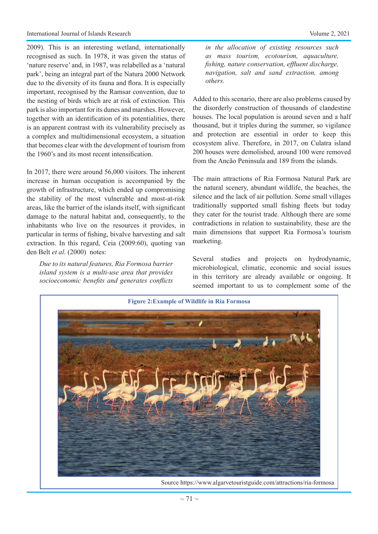2009). This is an interesting wetland, internationally recognised as such. In 1978, it was given the status of 'nature reserve' and, in 1987, was relabelled as a 'natural park', being an integral part of the Natura 2000 Network due to the diversity of its fauna and flora. It is especially important, recognised by the Ramsar convention, due to the nesting of birds which are at risk of extinction. This park is also important for its dunes and marshes. However, together with an identification of its potentialities, there is an apparent contrast with its vulnerability precisely as a complex and multidimensional ecosystem, a situation that becomes clear with the development of tourism from the 1960's and its most recent intensification.

In 2017, there were around 56,000 visitors. The inherent increase in human occupation is accompanied by the growth of infrastructure, which ended up compromising the stability of the most vulnerable and most-at-risk areas, like the barrier of the islands itself, with significant damage to the natural habitat and, consequently, to the inhabitants who live on the resources it provides, in particular in terms of fishing, bivalve harvesting and salt extraction. In this regard, Ceia (2009:60), quoting van den Belt *et al*. (2000) notes:

*Due to its natural features, Ria Formosa barrier island system is a multi-use area that provides socioeconomic benefits and generates conflicts* 

*in the allocation of existing resources such as mass tourism, ecotourism, aquaculture, fishing, nature conservation, effluent discharge, navigation, salt and sand extraction, among others.* 

Added to this scenario, there are also problems caused by the disorderly construction of thousands of clandestine houses. The local population is around seven and a half thousand, but it triples during the summer, so vigilance and protection are essential in order to keep this ecosystem alive. Therefore, in 2017, on Culatra island 200 houses were demolished, around 100 were removed from the Ancão Peninsula and 189 from the islands.

The main attractions of Ria Formosa Natural Park are the natural scenery, abundant wildlife, the beaches, the silence and the lack of air pollution. Some small villages traditionally supported small fishing fleets but today they cater for the tourist trade. Although there are some contradictions in relation to sustainability, these are the main dimensions that support Ria Formosa's tourism marketing.

Several studies and projects on hydrodynamic, microbiological, climatic, economic and social issues in this territory are already available or ongoing. It seemed important to us to complement some of the



Source https://www.algarvetouristguide.com/attractions/ria-formosa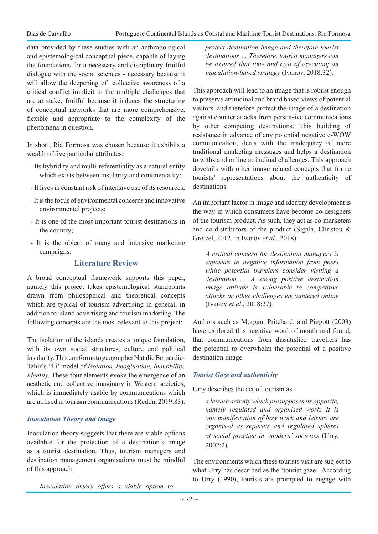data provided by these studies with an anthropological and epistemological conceptual piece, capable of laying the foundations for a necessary and disciplinary fruitful dialogue with the social sciences - necessary because it will allow the deepening of collective awareness of a critical conflict implicit in the multiple challenges that are at stake; fruitful because it induces the structuring of conceptual networks that are more comprehensive, flexible and appropriate to the complexity of the phenomena in question.

In short, Ria Formosa was chosen because it exhibits a wealth of five particular attributes:

- Its hybridity and multi-referentiality as a natural entity which exists between insularity and continentality;
- It lives in constant risk of intensive use of its resources;
- It is the focus of environmental concerns and innovative environmental projects;
- It is one of the most important tourist destinations in the country;
- It is the object of many and intensive marketing campaigns.

## **Literature Review**

A broad conceptual framework supports this paper, namely this project takes epistemological standpoints drawn from philosophical and theoretical concepts which are typical of tourism advertising in general, in addition to island advertising and tourism marketing. The following concepts are the most relevant to this project:

The isolation of the islands creates a unique foundation, with its own social structures, culture and political insularity. This conforms to geographer Natalie Bernardie-Tahir's '4 i' model of *Isolation, Imagination, Immobility, Identity.* These four elements evoke the emergence of an aesthetic and collective imaginary in Western societies, which is immediately usable by communications which are utilised in tourism communications (Redon, 2019:83).

## *Inoculation Theory and Image*

Inoculation theory suggests that there are viable options available for the protection of a destination's image as a tourist destination. Thus, tourism managers and destination management organisations must be mindful of this approach:

*Inoculation theory offers a viable option to* 

*protect destination image and therefore tourist destinations … Therefore, tourist managers can be assured that time and cost of executing an inoculation-based strategy* (Ivanov, 2018:32)*.* 

This approach will lead to an image that is robust enough to preserve attitudinal and brand based views of potential visitors, and therefore protect the image of a destination against counter attacks from persuasive communications by other competing destinations. This building of resistance in advance of any potential negative e-WOW communication, deals with the inadequacy of more traditional marketing messages and helps a destination to withstand online attitudinal challenges. This approach dovetails with other image related concepts that frame tourists' representations about the authenticity of destinations.

An important factor in image and identity development is the way in which consumers have become co-designers of the tourism product. As such, they act as co-marketers and co-distributors of the product (Sigala, Christou & Gretzel, 2012, in Ivanov *et al*., 2018):

*A critical concern for destination managers is exposure to negative information from peers while potential travelers consider visiting a destination ... A strong positive destination image attitude is vulnerable to competitive attacks or other challenges encountered online*  (Ivanov *et al*., 2018:27)*.* 

Authors such as Morgan, Pritchard, and Piggott (2003) have explored this negative word of mouth and found, that communications from dissatisfied travellers has the potential to overwhelm the potential of a positive destination image.

## *Tourist Gaze and authenticity*

Urry describes the act of tourism as

*a leisure activity which presupposes its opposite, namely regulated and organised work. It is one manifestation of how work and leisure are organised as separate and regulated spheres of social practice in 'modern' societies* (Urry, 2002:2)*.* 

The environments which these tourists visit are subject to what Urry has described as the 'tourist gaze'. According to Urry (1990), tourists are prompted to engage with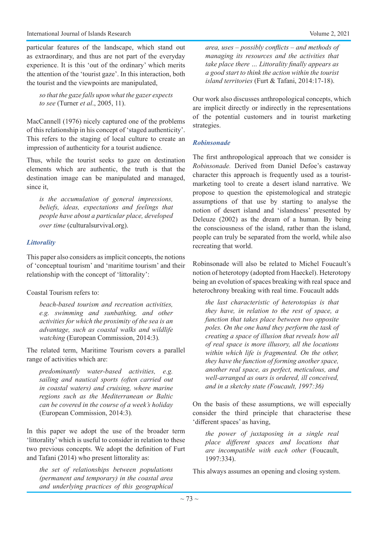particular features of the landscape, which stand out as extraordinary, and thus are not part of the everyday experience. It is this 'out of the ordinary' which merits the attention of the 'tourist gaze'. In this interaction, both the tourist and the viewpoints are manipulated,

*so that the gaze falls upon what the gazer expects to see* (Turner *et al*., 2005, 11).

MacCannell (1976) nicely captured one of the problems of this relationship in his concept of 'staged authenticity'. This refers to the staging of local culture to create an impression of authenticity for a tourist audience.

Thus, while the tourist seeks to gaze on destination elements which are authentic, the truth is that the destination image can be manipulated and managed, since it,

*is the accumulation of general impressions, beliefs, ideas, expectations and feelings that people have about a particular place, developed over time* (culturalsurvival.org).

#### *Littorality*

This paper also considers as implicit concepts, the notions of 'conceptual tourism' and 'maritime tourism' and their relationship with the concept of 'littorality':

#### Coastal Tourism refers to:

*beach-based tourism and recreation activities, e.g. swimming and sunbathing, and other activities for which the proximity of the sea is an advantage, such as coastal walks and wildlife watching* (European Commission, 2014:3)*.* 

The related term, Maritime Tourism covers a parallel range of activities which are:

*predominantly water-based activities, e.g. sailing and nautical sports (often carried out in coastal waters) and cruising, where marine regions such as the Mediterranean or Baltic can be covered in the course of a week's holiday*  (European Commission, 2014:3)*.*

In this paper we adopt the use of the broader term 'littorality' which is useful to consider in relation to these two previous concepts. We adopt the definition of Furt and Tafani (2014) who present littorality as:

*the set of relationships between populations (permanent and temporary) in the coastal area and underlying practices of this geographical*  *area, uses – possibly conflicts – and methods of managing its resources and the activities that take place there … Littorality finally appears as a good start to think the action within the tourist island territories* (Furt & Tafani, 2014:17-18).

Our work also discusses anthropological concepts, which are implicit directly or indirectly in the representations of the potential customers and in tourist marketing strategies.

#### *Robinsonade*

The first anthropological approach that we consider is *Robinsonade.* Derived from Daniel Defoe's castaway character this approach is frequently used as a touristmarketing tool to create a desert island narrative. We propose to question the epistemological and strategic assumptions of that use by starting to analyse the notion of desert island and 'islandness' presented by Deleuze (2002) as the dream of a human. By being the consciousness of the island, rather than the island, people can truly be separated from the world, while also recreating that world.

Robinsonade will also be related to Michel Foucault's notion of heterotopy (adopted from Haeckel). Heterotopy being an evolution of spaces breaking with real space and heterochrony breaking with real time. Foucault adds

*the last characteristic of heterotopias is that they have, in relation to the rest of space, a function that takes place between two opposite poles. On the one hand they perform the task of creating a space of illusion that reveals how all of real space is more illusory, all the locations within which life is fragmented. On the other, they have the function of forming another space, another real space, as perfect, meticulous, and well-arranged as ours is ordered, ill conceived, and in a sketchy state (Foucault, 1997:36)*

On the basis of these assumptions, we will especially consider the third principle that characterise these 'different spaces' as having,

*the power of juxtaposing in a single real place different spaces and locations that are incompatible with each other* (Foucault, 1997:334).

This always assumes an opening and closing system.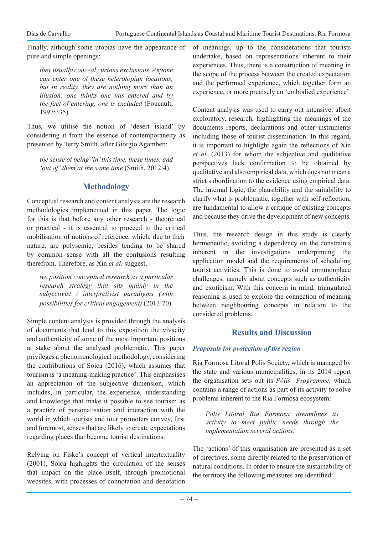Finally, although some utopias have the appearance of pure and simple openings:

*they usually conceal curious exclusions. Anyone can enter one of these heterotopian locations, but in reality, they are nothing more than an illusion: one thinks one has entered and by the fact of entering, one is excluded* (Foucault, 1997:335).

Thus, we utilise the notion of 'desert island' by considering it from the essence of contemporaneity as presented by Terry Smith, after Giorgio Agamben:

*the sense of being 'in' this time, these times, and 'out of' them at the same time* (Smith, 2012:4).

## **Methodology**

Conceptual research and content analysis are the research methodologies implemented in this paper. The logic for this is that before any other research - theoretical or practical - it is essential to proceed to the critical mobilisation of notions of reference, which, due to their nature, are polysemic, besides tending to be shared by common sense with all the confusions resulting therefrom. Therefore, as Xin *et al*. suggest,

*we position conceptual research as a particular research strategy that sits mainly in the subjectivist / interpretivist paradigms (with possibilities for critical engagement)* (2013:70)*.*

Simple content analysis is provided through the analysis of documents that lend to this exposition the vivacity and authenticity of some of the most important positions at stake about the analysed problematic. This paper privileges a phenomenological methodology, considering the contributions of Soica (2016), which assumes that tourism is 'a meaning-making practice'. This emphasises an appreciation of the subjective dimension, which includes, in particular, the experience, understanding and knowledge that make it possible to see tourism as a practice of personalisation and interaction with the world in which tourists and tour promoters convey, first and foremost, senses that are likely to create expectations regarding places that become tourist destinations.

Relying on Fiske's concept of vertical intertextuality (2001), Soica highlights the circulation of the senses that impact on the place itself, through promotional websites, with processes of connotation and denotation of meanings, up to the considerations that tourists undertake, based on representations inherent to their experiences. Thus, there is a construction of meaning in the scope of the process between the created expectation and the performed experience, which together form an experience, or more precisely an 'embodied experience'.

Content analysis was used to carry out intensive, albeit exploratory, research, highlighting the meanings of the documents reports, declarations and other instruments including those of tourist dissemination. In this regard, it is important to highlight again the reflections of Xin *et al*. (2013) for whom the subjective and qualitative perspectives lack confirmation to be obtained by qualitative and also empirical data, which does not mean a strict subordination to the evidence using empirical data. The internal logic, the plausibility and the suitability to clarify what is problematic, together with self-reflection, are fundamental to allow a critique of existing concepts and because they drive the development of new concepts.

Thus, the research design in this study is clearly hermeneutic, avoiding a dependency on the constraints inherent in the investigations underpinning the application model and the requirements of scheduling tourist activities. This is done to avoid commonplace challenges, namely about concepts such as authenticity and exoticism. With this concern in mind, triangulated reasoning is used to explore the connection of meaning between neighbouring concepts in relation to the considered problems.

## **Results and Discussion**

## *Proposals for protection of the region*

Ria Formosa Litoral Polis Society, which is managed by the state and various municipalities, in its 2014 report the organisation sets out its *Pólis Programme,* which contains a range of actions as part of its activity to solve problems inherent to the Ria Formosa ecosystem:

*Polis Litoral Ria Formosa streamlines its activity to meet public needs through the implementation several actions.*

The 'actions' of this organisation are presented as a set of directives, some directly related to the preservation of natural conditions. In order to ensure the sustainability of the territory the following measures are identified: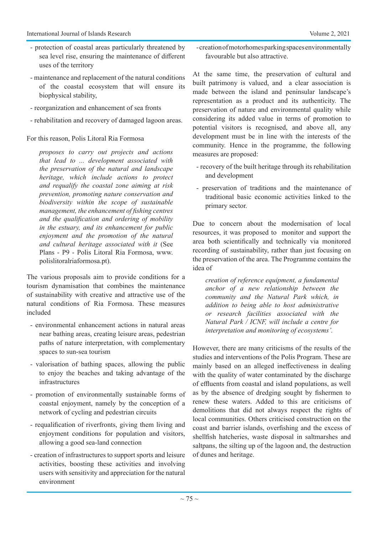- protection of coastal areas particularly threatened by sea level rise, ensuring the maintenance of different uses of the territory
- maintenance and replacement of the natural conditions of the coastal ecosystem that will ensure its biophysical stability,
- reorganization and enhancement of sea fronts
- rehabilitation and recovery of damaged lagoon areas.

For this reason, Polis Litoral Ria Formosa

*proposes to carry out projects and actions that lead to ... development associated with the preservation of the natural and landscape heritage, which include actions to protect and requalify the coastal zone aiming at risk prevention, promoting nature conservation and biodiversity within the scope of sustainable management, the enhancement of fishing centres and the qualification and ordering of mobility in the estuary, and its enhancement for public enjoyment and the promotion of the natural and cultural heritage associated with it* (See Plans - P9 - Polis Litoral Ria Formosa, www. polislitoralriaformosa.pt).

The various proposals aim to provide conditions for a tourism dynamisation that combines the maintenance of sustainability with creative and attractive use of the natural conditions of Ria Formosa. These measures included

- environmental enhancement actions in natural areas near bathing areas, creating leisure areas, pedestrian paths of nature interpretation, with complementary spaces to sun-sea tourism
- valorisation of bathing spaces, allowing the public to enjoy the beaches and taking advantage of the infrastructures
- promotion of environmentally sustainable forms of coastal enjoyment, namely by the conception of a network of cycling and pedestrian circuits
- requalification of riverfronts, giving them living and enjoyment conditions for population and visitors, allowing a good sea-land connection
- creation of infrastructures to support sports and leisure activities, boosting these activities and involving users with sensitivity and appreciation for the natural environment

- creation of motorhomes parking spaces environmentally favourable but also attractive.

At the same time, the preservation of cultural and built patrimony is valued, and a clear association is made between the island and peninsular landscape's representation as a product and its authenticity. The preservation of nature and environmental quality while considering its added value in terms of promotion to potential visitors is recognised, and above all, any development must be in line with the interests of the community. Hence in the programme, the following measures are proposed:

- recovery of the built heritage through its rehabilitation and development
- preservation of traditions and the maintenance of traditional basic economic activities linked to the primary sector.

Due to concern about the modernisation of local resources, it was proposed to monitor and support the area both scientifically and technically via monitored recording of sustainability, rather than just focusing on the preservation of the area. The Programme contains the idea of

*creation of reference equipment, a fundamental anchor of a new relationship between the community and the Natural Park which, in addition to being able to host administrative or research facilities associated with the Natural Park / ICNF, will include a centre for interpretation and monitoring of ecosystems'.*

However, there are many criticisms of the results of the studies and interventions of the Polis Program. These are mainly based on an alleged ineffectiveness in dealing with the quality of water contaminated by the discharge of effluents from coastal and island populations, as well as by the absence of dredging sought by fishermen to renew these waters. Added to this are criticisms of demolitions that did not always respect the rights of local communities. Others criticised construction on the coast and barrier islands, overfishing and the excess of shellfish hatcheries, waste disposal in saltmarshes and saltpans, the silting up of the lagoon and, the destruction of dunes and heritage.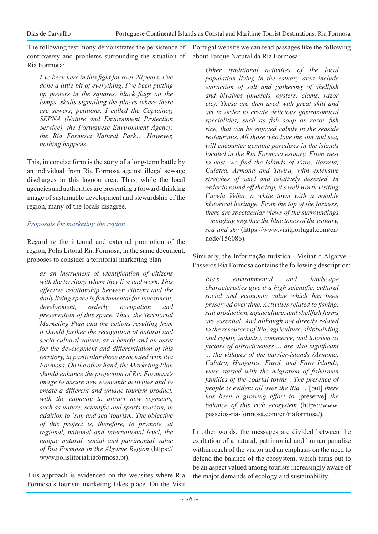The following testimony demonstrates the persistence of controversy and problems surrounding the situation of Ria Formosa:

*I've been here in this fight for over 20 years. I've done a little bit of everything. I've been putting up posters in the squares, black flags on the lamps, skulls signalling the places where there are sewers, petitions. I called the Captaincy, SEPNA (Nature and Environment Protection Service), the Portuguese Environment Agency, the Ria Formosa Natural Park… However, nothing happens.*

This, in concise form is the story of a long-term battle by an individual from Ria Formosa against illegal sewage discharges in this lagoon area. Thus, while the local agencies and authorities are presenting a forward-thinking image of sustainable development and stewardship of the region, many of the locals disagree.

## *Proposals for marketing the region*

Regarding the internal and external promotion of the region, Polis Litoral Ria Formosa, in the same document, proposes to consider a territorial marketing plan:

*as an instrument of identification of citizens with the territory where they live and work. This affective relationship between citizens and the daily living space is fundamental for investment, development, orderly occupation and preservation of this space. Thus, the Territorial Marketing Plan and the actions resulting from it should further the recognition of natural and socio-cultural values, as a benefit and an asset for the development and differentiation of this territory, in particular those associated with Ria Formosa. On the other hand, the Marketing Plan should enhance the projection of Ria Formosa's image to assure new economic activities and to create a different and unique tourism product, with the capacity to attract new segments, such as nature, scientific and sports tourism, in addition to 'sun and sea' tourism. The objective of this project is, therefore, to promote, at regional, national and international level, the unique natural, social and patrimonial value of Ria Formosa in the Algarve Region* (https:// www.polislitorialriaformosa.pt).

This approach is evidenced on the websites where Ria Formosa's tourism marketing takes place. On the Visit Portugal website we can read passages like the following about Parque Natural da Ria Formosa:

*Other traditional activities of the local population living in the estuary area include extraction of salt and gathering of shellfish and bivalves (mussels, oysters, clams, razor etc). These are then used with great skill and art in order to create delicious gastronomical specialities, such as fish soup or razor fish rice, that can be enjoyed calmly in the seaside restaurants. All those who love the sun and sea, will encounter genuine paradises in the islands located in the Ria Formosa estuary. From west to east, we find the islands of Faro, Barreta, Culatra, Armona and Tavira, with extensive stretches of sand and relatively deserted. In order to round off the trip, it's well worth visiting Cacela Velha, a white town with a notable historical heritage. From the top of the fortress, there are spectacular views of the surroundings – mingling together the blue tones of the estuary, sea and sky* (https://www.visitportugal.com/en/ node/156086).

Similarly, the Informação turística - Visitar o Algarve - Passeios Ria Formosa contains the following description:

*Ria's environmental and landscape characteristics give it a high scientific, cultural social and economic value which has been preserved over time. Activities related to fishing, salt production, aquaculture, and shellfish farms are essential. And although not directly related to the resources of Ria, agriculture, shipbuilding and repair, industry, commerce, and tourism as factors of attractiveness ... are also significant ... the villages of the barrier-islands (Armona, Culatra, Hangares, Farol, and Faro Island), were started with the migration of fishermen families of the coastal towns . The presence of people is evident all over the Ria ...* [but] *there has been a growing effort to* [preserve] *the balance of this rich ecosystem* (https://www. passeios-ria-formosa.com/en/riaformosa/)*.*

In other words, the messages are divided between the exaltation of a natural, patrimonial and human paradise within reach of the visitor and an emphasis on the need to defend the balance of the ecosystem, which turns out to be an aspect valued among tourists increasingly aware of the major demands of ecology and sustainability.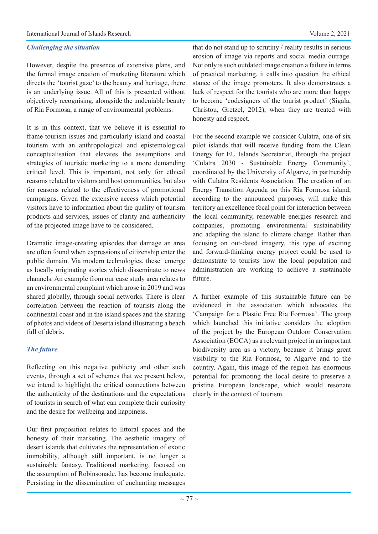However, despite the presence of extensive plans, and the formal image creation of marketing literature which directs the 'tourist gaze' to the beauty and heritage, there is an underlying issue. All of this is presented without objectively recognising, alongside the undeniable beauty of Ria Formosa, a range of environmental problems.

It is in this context, that we believe it is essential to frame tourism issues and particularly island and coastal tourism with an anthropological and epistemological conceptualisation that elevates the assumptions and strategies of touristic marketing to a more demanding critical level. This is important, not only for ethical reasons related to visitors and host communities, but also for reasons related to the effectiveness of promotional campaigns. Given the extensive access which potential visitors have to information about the quality of tourism products and services, issues of clarity and authenticity of the projected image have to be considered.

Dramatic image-creating episodes that damage an area are often found when expressions of citizenship enter the public domain. Via modern technologies, these emerge as locally originating stories which disseminate to news channels. An example from our case study area relates to an environmental complaint which arose in 2019 and was shared globally, through social networks. There is clear correlation between the reaction of tourists along the continental coast and in the island spaces and the sharing of photos and videos of Deserta island illustrating a beach full of debris.

## *The future*

Reflecting on this negative publicity and other such events, through a set of schemes that we present below, we intend to highlight the critical connections between the authenticity of the destinations and the expectations of tourists in search of what can complete their curiosity and the desire for wellbeing and happiness.

Our first proposition relates to littoral spaces and the honesty of their marketing. The aesthetic imagery of desert islands that cultivates the representation of exotic immobility, although still important, is no longer a sustainable fantasy. Traditional marketing, focused on the assumption of Robinsonade, has become inadequate. Persisting in the dissemination of enchanting messages

that do not stand up to scrutiny / reality results in serious erosion of image via reports and social media outrage. Not only is such outdated image creation a failure in terms of practical marketing, it calls into question the ethical stance of the image promoters. It also demonstrates a

lack of respect for the tourists who are more than happy to become 'codesigners of the tourist product' (Sigala, Christou, Gretzel, 2012), when they are treated with honesty and respect.

For the second example we consider Culatra, one of six pilot islands that will receive funding from the Clean Energy for EU Islands Secretariat, through the project 'Culatra 2030 - Sustainable Energy Community', coordinated by the University of Algarve, in partnership with Culatra Residents Association. The creation of an Energy Transition Agenda on this Ria Formosa island, according to the announced purposes, will make this territory an excellence focal point for interaction between the local community, renewable energies research and companies, promoting environmental sustainability and adapting the island to climate change. Rather than focusing on out-dated imagery, this type of exciting and forward-thinking energy project could be used to demonstrate to tourists how the local population and administration are working to achieve a sustainable future.

A further example of this sustainable future can be evidenced in the association which advocates the 'Campaign for a Plastic Free Ria Formosa'. The group which launched this initiative considers the adoption of the project by the European Outdoor Conservation Association (EOCA) as a relevant project in an important biodiversity area as a victory, because it brings great visibility to the Ria Formosa, to Algarve and to the country. Again, this image of the region has enormous potential for promoting the local desire to preserve a pristine European landscape, which would resonate clearly in the context of tourism.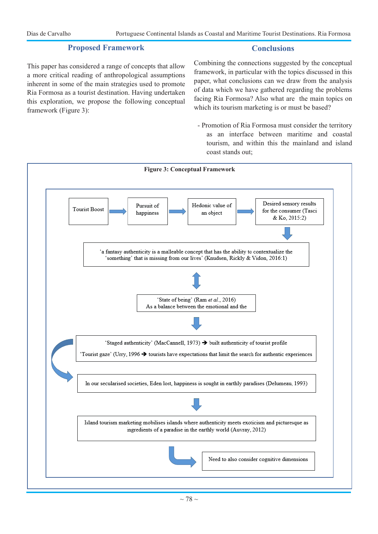## **Proposed Framework**

## **Conclusions**

This paper has considered a range of concepts that allow a more critical reading of anthropological assumptions inherent in some of the main strategies used to promote Ria Formosa as a tourist destination. Having undertaken this exploration, we propose the following conceptual framework (Figure 3):

Combining the connections suggested by the conceptual framework, in particular with the topics discussed in this paper, what conclusions can we draw from the analysis of data which we have gathered regarding the problems facing Ria Formosa? Also what are the main topics on which its tourism marketing is or must be based?

- Promotion of Ria Formosa must consider the territory as an interface between maritime and coastal tourism, and within this the mainland and island coast stands out;

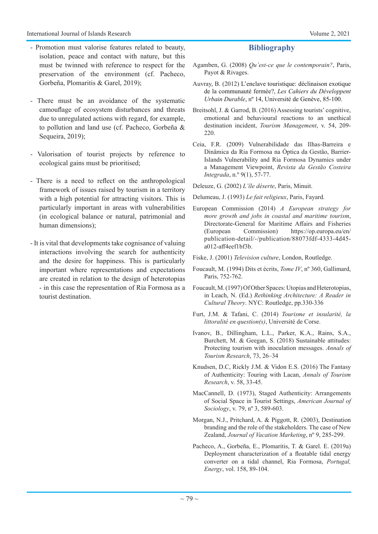- Promotion must valorise features related to beauty, isolation, peace and contact with nature, but this must be twinned with reference to respect for the preservation of the environment (cf. Pacheco, Gorbeña, Plomaritis & Garel, 2019);
- There must be an avoidance of the systematic camouflage of ecosystem disturbances and threats due to unregulated actions with regard, for example, to pollution and land use (cf. Pacheco, Gorbeña & Sequeira, 2019);
- Valorisation of tourist projects by reference to ecological gains must be prioritised;
- There is a need to reflect on the anthropological framework of issues raised by tourism in a territory with a high potential for attracting visitors. This is particularly important in areas with vulnerabilities (in ecological balance or natural, patrimonial and human dimensions);
- It is vital that developments take cognisance of valuing interactions involving the search for authenticity and the desire for happiness. This is particularly important where representations and expectations are created in relation to the design of heterotopias - in this case the representation of Ria Formosa as a tourist destination.

## **Bibliography**

- Agamben, G. (2008) *Qu'est-ce que le contemporain?*, Paris, Payot & Rivages.
- Auvray, B. (2012) L'enclave touristique: déclinaison exotique de la communauté fermée?, *Les Cahiers du Développent Urbain Durable*, nº 14, Université de Genève, 85-100.
- Breitsohl, J. & Garrod, B. (2016) Assessing tourists' cognitive, emotional and behavioural reactions to an unethical destination incident, *Tourism Management*, v. 54, 209- 220.
- Ceia, F.R. (2009) Vulnerabilidade das Ilhas-Barreira e Dinâmica da Ria Formosa na Óptica da Gestão, Barrier-Islands Vulnerability and Ria Formosa Dynamics under a Management Viewpoint, *Revista da Gestão Costeira Integrada*, n.º 9(1), 57-77.

Deleuze, G. (2002) *L'île déserte*, Paris, Minuit.

- Delumeau, J. (1993) *Le fait religieux*, Paris, Fayard.
- European Commission (2014) *A European strategy for more growth and jobs in coastal and maritime tourism*, Directorate-General for Maritime Affairs and Fisheries (European Commission) https://op.europa.eu/en/ publication-detail/-/publication/88073fdf-4333-4d45 a012-aff4eef1bf3b.

Fiske, J. (2001) *Television culture*, London, Routledge.

- Foucault, M. (1994) Dits et écrits, *Tome IV*, nº 360, Gallimard, Paris, 752-762.
- Foucault, M. (1997) Of Other Spaces: Utopias and Heterotopias, in Leach, N. (Ed.) *Rethinking Architecture: A Reader in Cultural Theory*. NYC: Routledge, pp.330-336
- Furt, J.M. & Tafani, C. (2014) *Tourisme et insularité, la littoralité en question(s)*, Université de Corse.
- Ivanov, B., Dillingham, L.L., Parker, K.A., Rains, S.A., Burchett, M. & Geegan, S. (2018) Sustainable attitudes: Protecting tourism with inoculation messages. *Annals of Tourism Research*, 73, 26–34
- Knudsen, D.C, Rickly J.M. & Vidon E.S. (2016) The Fantasy of Authenticity: Touring with Lacan, *Annals of Tourism Research*, v. 58, 33-45.
- MacCannell, D. (1973), Staged Authenticity: Arrangements of Social Space in Tourist Settings, *American Journal of Sociology*, v. 79, nº 3, 589-603.
- Morgan, N.J., Pritchard, A. & Piggott, R. (2003), Destination branding and the role of the stakeholders. The case of New Zealand, *Journal of Vacation Marketing*, nº 9, 285-299.
- Pacheco, A., Gorbeña, E., Plomaritis, T. & Garel. E. (2019a) Deployment characterization of a floatable tidal energy converter on a tidal channel, Ria Formosa, *Portugal, Energy*, vol. 158, 89-104.